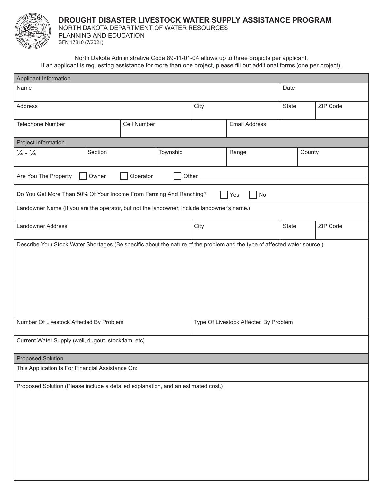

## **DROUGHT DISASTER LIVESTOCK WATER SUPPLY ASSISTANCE PROGRAM**

PLANNING AND EDUCATION NORTH DAKOTA DEPARTMENT OF WATER RESOURCES

SFN 17810 (7/2021)

North Dakota Administrative Code 89-11-01-04 allows up to three projects per applicant. If an applicant is requesting assistance for more than one project, please fill out additional forms (one per project).

| <b>Applicant Information</b>                                                                                             |                                       |      |                      |          |          |  |  |  |
|--------------------------------------------------------------------------------------------------------------------------|---------------------------------------|------|----------------------|----------|----------|--|--|--|
| Name                                                                                                                     |                                       |      | Date                 |          |          |  |  |  |
| Address                                                                                                                  |                                       | City |                      | State    | ZIP Code |  |  |  |
| Telephone Number                                                                                                         | Cell Number                           |      | <b>Email Address</b> |          |          |  |  |  |
| Project Information                                                                                                      |                                       |      |                      |          |          |  |  |  |
| $\frac{1}{4} - \frac{1}{4}$<br>Section                                                                                   | Township                              |      | Range                | County   |          |  |  |  |
| Are You The Property<br>Owner<br>Operator<br>Other_                                                                      |                                       |      |                      |          |          |  |  |  |
| Do You Get More Than 50% Of Your Income From Farming And Ranching?<br>No<br>Yes                                          |                                       |      |                      |          |          |  |  |  |
| Landowner Name (If you are the operator, but not the landowner, include landowner's name.)                               |                                       |      |                      |          |          |  |  |  |
| Landowner Address                                                                                                        | City                                  |      | State                | ZIP Code |          |  |  |  |
| Describe Your Stock Water Shortages (Be specific about the nature of the problem and the type of affected water source.) |                                       |      |                      |          |          |  |  |  |
| Number Of Livestock Affected By Problem                                                                                  | Type Of Livestock Affected By Problem |      |                      |          |          |  |  |  |
| Current Water Supply (well, dugout, stockdam, etc)                                                                       |                                       |      |                      |          |          |  |  |  |
| <b>Proposed Solution</b>                                                                                                 |                                       |      |                      |          |          |  |  |  |
| This Application Is For Financial Assistance On:                                                                         |                                       |      |                      |          |          |  |  |  |
| Proposed Solution (Please include a detailed explanation, and an estimated cost.)                                        |                                       |      |                      |          |          |  |  |  |